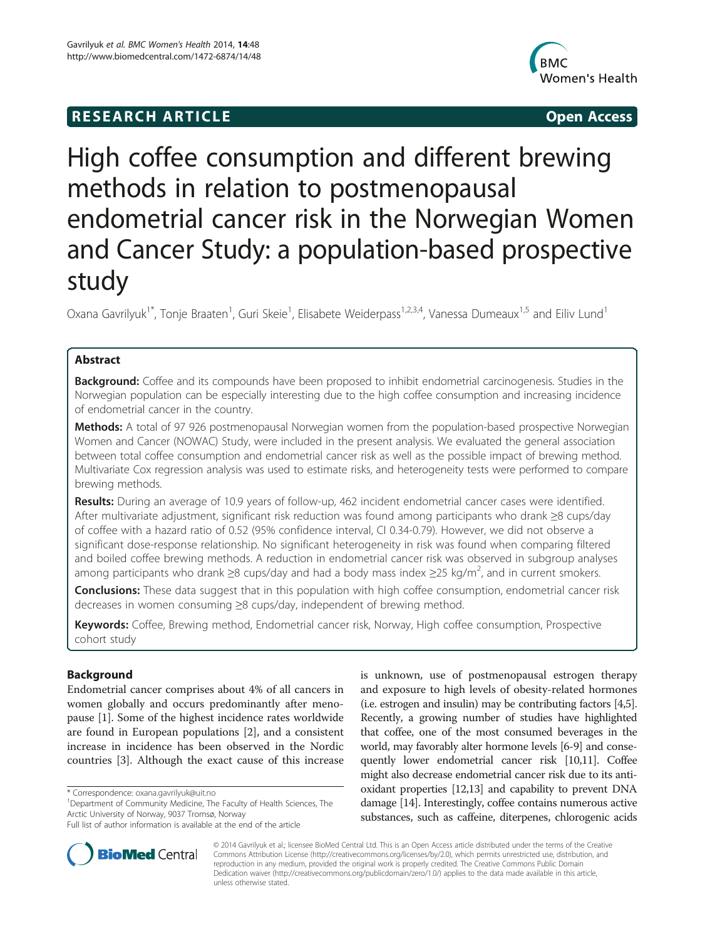## **RESEARCH ARTICLE Example 2018 12:00 Open Access**



# High coffee consumption and different brewing methods in relation to postmenopausal endometrial cancer risk in the Norwegian Women and Cancer Study: a population-based prospective study

Oxana Gavrilyuk<sup>1\*</sup>, Tonje Braaten<sup>1</sup>, Guri Skeie<sup>1</sup>, Elisabete Weiderpass<sup>1,2,3,4</sup>, Vanessa Dumeaux<sup>1,5</sup> and Eiliv Lund<sup>1</sup>

## Abstract

Background: Coffee and its compounds have been proposed to inhibit endometrial carcinogenesis. Studies in the Norwegian population can be especially interesting due to the high coffee consumption and increasing incidence of endometrial cancer in the country.

Methods: A total of 97 926 postmenopausal Norwegian women from the population-based prospective Norwegian Women and Cancer (NOWAC) Study, were included in the present analysis. We evaluated the general association between total coffee consumption and endometrial cancer risk as well as the possible impact of brewing method. Multivariate Cox regression analysis was used to estimate risks, and heterogeneity tests were performed to compare brewing methods.

Results: During an average of 10.9 years of follow-up, 462 incident endometrial cancer cases were identified. After multivariate adjustment, significant risk reduction was found among participants who drank ≥8 cups/day of coffee with a hazard ratio of 0.52 (95% confidence interval, CI 0.34-0.79). However, we did not observe a significant dose-response relationship. No significant heterogeneity in risk was found when comparing filtered and boiled coffee brewing methods. A reduction in endometrial cancer risk was observed in subgroup analyses among participants who drank ≥8 cups/day and had a body mass index ≥25 kg/m<sup>2</sup>, and in current smokers.

**Conclusions:** These data suggest that in this population with high coffee consumption, endometrial cancer risk decreases in women consuming ≥8 cups/day, independent of brewing method.

Keywords: Coffee, Brewing method, Endometrial cancer risk, Norway, High coffee consumption, Prospective cohort study

## Background

Endometrial cancer comprises about 4% of all cancers in women globally and occurs predominantly after menopause [1]. Some of the highest incidence rates worldwide are found in European populations [2], and a consistent increase in incidence has been observed in the Nordic countries [3]. Although the exact cause of this increase

is unknown, use of postmenopausal estrogen therapy and exposure to high levels of obesity-related hormones (i.e. estrogen and insulin) may be contributing factors [4,5]. Recently, a growing number of studies have highlighted that coffee, one of the most consumed beverages in the world, may favorably alter hormone levels [6-9] and consequently lower endometrial cancer risk [10,11]. Coffee might also decrease endometrial cancer risk due to its antioxidant properties [12,13] and capability to prevent DNA damage [14]. Interestingly, coffee contains numerous active substances, such as caffeine, diterpenes, chlorogenic acids



© 2014 Gavrilyuk et al.; licensee BioMed Central Ltd. This is an Open Access article distributed under the terms of the Creative Commons Attribution License [\(http://creativecommons.org/licenses/by/2.0\)](http://creativecommons.org/licenses/by/2.0), which permits unrestricted use, distribution, and reproduction in any medium, provided the original work is properly credited. The Creative Commons Public Domain Dedication waiver [\(http://creativecommons.org/publicdomain/zero/1.0/](http://creativecommons.org/publicdomain/zero/1.0/)) applies to the data made available in this article, unless otherwise stated.

<sup>\*</sup> Correspondence: [oxana.gavrilyuk@uit.no](mailto:oxana.gavrilyuk@uit.no) <sup>1</sup>

<sup>&</sup>lt;sup>1</sup>Department of Community Medicine, The Faculty of Health Sciences, The Arctic University of Norway, 9037 Tromsø, Norway

Full list of author information is available at the end of the article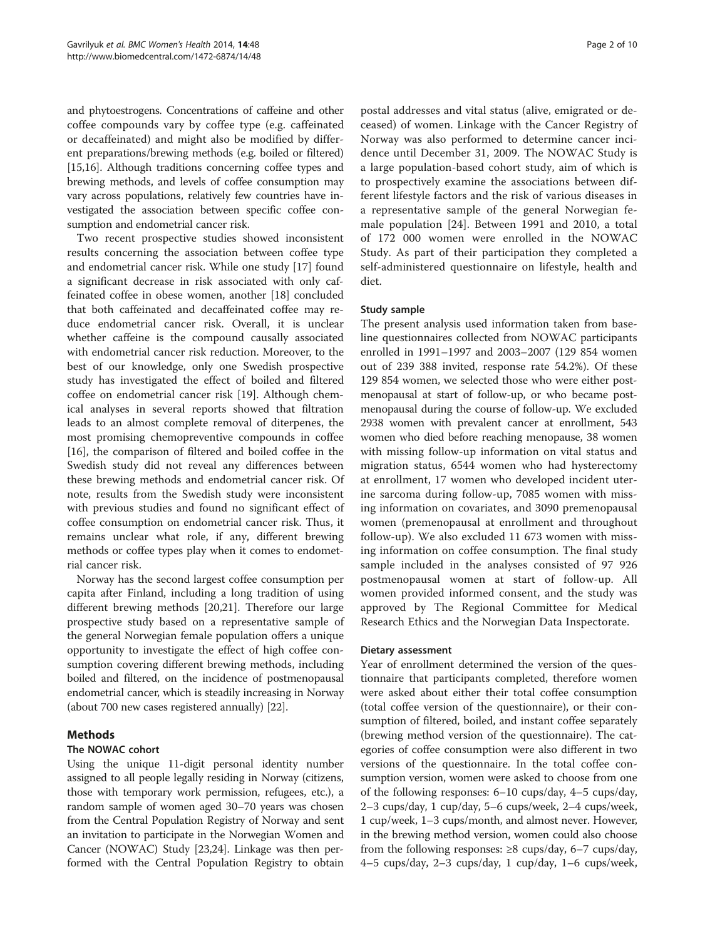and phytoestrogens. Concentrations of caffeine and other coffee compounds vary by coffee type (e.g. caffeinated or decaffeinated) and might also be modified by different preparations/brewing methods (e.g. boiled or filtered) [15,16]. Although traditions concerning coffee types and brewing methods, and levels of coffee consumption may vary across populations, relatively few countries have investigated the association between specific coffee consumption and endometrial cancer risk.

Two recent prospective studies showed inconsistent results concerning the association between coffee type and endometrial cancer risk. While one study [17] found a significant decrease in risk associated with only caffeinated coffee in obese women, another [18] concluded that both caffeinated and decaffeinated coffee may reduce endometrial cancer risk. Overall, it is unclear whether caffeine is the compound causally associated with endometrial cancer risk reduction. Moreover, to the best of our knowledge, only one Swedish prospective study has investigated the effect of boiled and filtered coffee on endometrial cancer risk [19]. Although chemical analyses in several reports showed that filtration leads to an almost complete removal of diterpenes, the most promising chemopreventive compounds in coffee [16], the comparison of filtered and boiled coffee in the Swedish study did not reveal any differences between these brewing methods and endometrial cancer risk. Of note, results from the Swedish study were inconsistent with previous studies and found no significant effect of coffee consumption on endometrial cancer risk. Thus, it remains unclear what role, if any, different brewing methods or coffee types play when it comes to endometrial cancer risk.

Norway has the second largest coffee consumption per capita after Finland, including a long tradition of using different brewing methods [20,21]. Therefore our large prospective study based on a representative sample of the general Norwegian female population offers a unique opportunity to investigate the effect of high coffee consumption covering different brewing methods, including boiled and filtered, on the incidence of postmenopausal endometrial cancer, which is steadily increasing in Norway (about 700 new cases registered annually) [22].

## Methods

## The NOWAC cohort

Using the unique 11-digit personal identity number assigned to all people legally residing in Norway (citizens, those with temporary work permission, refugees, etc.), a random sample of women aged 30–70 years was chosen from the Central Population Registry of Norway and sent an invitation to participate in the Norwegian Women and Cancer (NOWAC) Study [23,24]. Linkage was then performed with the Central Population Registry to obtain

postal addresses and vital status (alive, emigrated or deceased) of women. Linkage with the Cancer Registry of Norway was also performed to determine cancer incidence until December 31, 2009. The NOWAC Study is a large population-based cohort study, aim of which is to prospectively examine the associations between different lifestyle factors and the risk of various diseases in a representative sample of the general Norwegian female population [24]. Between 1991 and 2010, a total of 172 000 women were enrolled in the NOWAC Study. As part of their participation they completed a self-administered questionnaire on lifestyle, health and diet.

## Study sample

The present analysis used information taken from baseline questionnaires collected from NOWAC participants enrolled in 1991–1997 and 2003–2007 (129 854 women out of 239 388 invited, response rate 54.2%). Of these 129 854 women, we selected those who were either postmenopausal at start of follow-up, or who became postmenopausal during the course of follow-up. We excluded 2938 women with prevalent cancer at enrollment, 543 women who died before reaching menopause, 38 women with missing follow-up information on vital status and migration status, 6544 women who had hysterectomy at enrollment, 17 women who developed incident uterine sarcoma during follow-up, 7085 women with missing information on covariates, and 3090 premenopausal women (premenopausal at enrollment and throughout follow-up). We also excluded 11 673 women with missing information on coffee consumption. The final study sample included in the analyses consisted of 97 926 postmenopausal women at start of follow-up. All women provided informed consent, and the study was approved by The Regional Committee for Medical Research Ethics and the Norwegian Data Inspectorate.

#### Dietary assessment

Year of enrollment determined the version of the questionnaire that participants completed, therefore women were asked about either their total coffee consumption (total coffee version of the questionnaire), or their consumption of filtered, boiled, and instant coffee separately (brewing method version of the questionnaire). The categories of coffee consumption were also different in two versions of the questionnaire. In the total coffee consumption version, women were asked to choose from one of the following responses: 6–10 cups/day, 4–5 cups/day, 2–3 cups/day, 1 cup/day, 5–6 cups/week, 2–4 cups/week, 1 cup/week, 1–3 cups/month, and almost never. However, in the brewing method version, women could also choose from the following responses: ≥8 cups/day, 6–7 cups/day, 4–5 cups/day, 2–3 cups/day, 1 cup/day, 1–6 cups/week,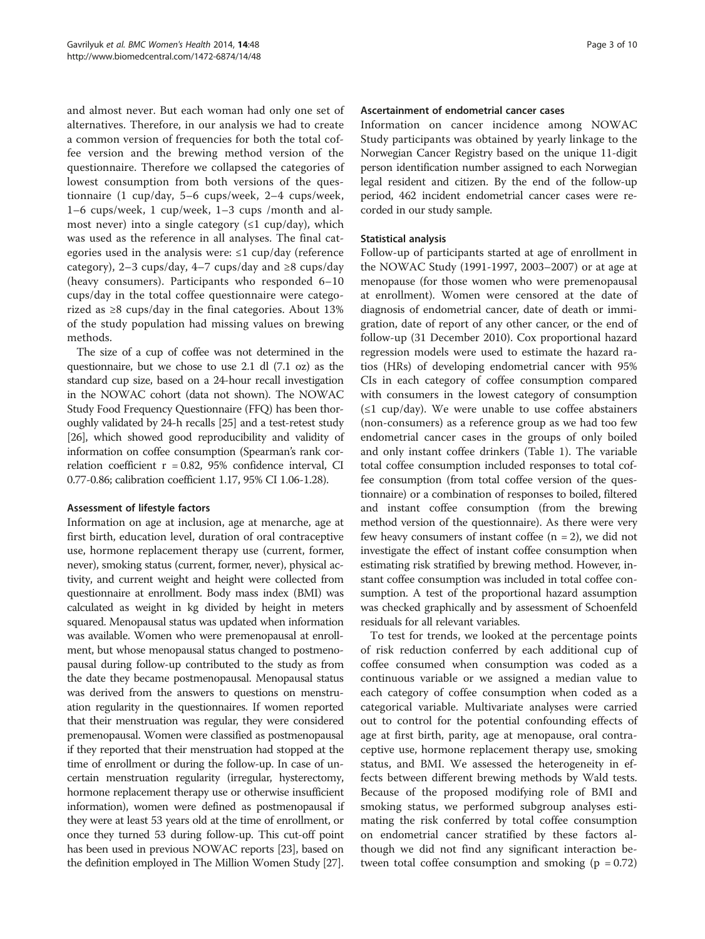and almost never. But each woman had only one set of alternatives. Therefore, in our analysis we had to create a common version of frequencies for both the total coffee version and the brewing method version of the questionnaire. Therefore we collapsed the categories of lowest consumption from both versions of the questionnaire (1 cup/day, 5–6 cups/week, 2–4 cups/week, 1–6 cups/week, 1 cup/week, 1–3 cups /month and almost never) into a single category  $(\leq 1 \text{ cup/day})$ , which was used as the reference in all analyses. The final categories used in the analysis were:  $\leq 1$  cup/day (reference category), 2–3 cups/day, 4–7 cups/day and  $\geq$ 8 cups/day (heavy consumers). Participants who responded 6–10 cups/day in the total coffee questionnaire were categorized as ≥8 cups/day in the final categories. About 13% of the study population had missing values on brewing methods.

The size of a cup of coffee was not determined in the questionnaire, but we chose to use 2.1 dl (7.1 oz) as the standard cup size, based on a 24-hour recall investigation in the NOWAC cohort (data not shown). The NOWAC Study Food Frequency Questionnaire (FFQ) has been thoroughly validated by 24-h recalls [25] and a test-retest study [26], which showed good reproducibility and validity of information on coffee consumption (Spearman's rank correlation coefficient  $r = 0.82$ , 95% confidence interval, CI 0.77-0.86; calibration coefficient 1.17, 95% CI 1.06-1.28).

## Assessment of lifestyle factors

Information on age at inclusion, age at menarche, age at first birth, education level, duration of oral contraceptive use, hormone replacement therapy use (current, former, never), smoking status (current, former, never), physical activity, and current weight and height were collected from questionnaire at enrollment. Body mass index (BMI) was calculated as weight in kg divided by height in meters squared. Menopausal status was updated when information was available. Women who were premenopausal at enrollment, but whose menopausal status changed to postmenopausal during follow-up contributed to the study as from the date they became postmenopausal. Menopausal status was derived from the answers to questions on menstruation regularity in the questionnaires. If women reported that their menstruation was regular, they were considered premenopausal. Women were classified as postmenopausal if they reported that their menstruation had stopped at the time of enrollment or during the follow-up. In case of uncertain menstruation regularity (irregular, hysterectomy, hormone replacement therapy use or otherwise insufficient information), women were defined as postmenopausal if they were at least 53 years old at the time of enrollment, or once they turned 53 during follow-up. This cut-off point has been used in previous NOWAC reports [23], based on the definition employed in The Million Women Study [27].

#### Ascertainment of endometrial cancer cases

Information on cancer incidence among NOWAC Study participants was obtained by yearly linkage to the Norwegian Cancer Registry based on the unique 11-digit person identification number assigned to each Norwegian legal resident and citizen. By the end of the follow-up period, 462 incident endometrial cancer cases were recorded in our study sample.

## Statistical analysis

Follow-up of participants started at age of enrollment in the NOWAC Study (1991-1997, 2003–2007) or at age at menopause (for those women who were premenopausal at enrollment). Women were censored at the date of diagnosis of endometrial cancer, date of death or immigration, date of report of any other cancer, or the end of follow-up (31 December 2010). Cox proportional hazard regression models were used to estimate the hazard ratios (HRs) of developing endometrial cancer with 95% CIs in each category of coffee consumption compared with consumers in the lowest category of consumption  $(\leq 1$  cup/day). We were unable to use coffee abstainers (non-consumers) as a reference group as we had too few endometrial cancer cases in the groups of only boiled and only instant coffee drinkers (Table 1). The variable total coffee consumption included responses to total coffee consumption (from total coffee version of the questionnaire) or a combination of responses to boiled, filtered and instant coffee consumption (from the brewing method version of the questionnaire). As there were very few heavy consumers of instant coffee  $(n = 2)$ , we did not investigate the effect of instant coffee consumption when estimating risk stratified by brewing method. However, instant coffee consumption was included in total coffee consumption. A test of the proportional hazard assumption was checked graphically and by assessment of Schoenfeld residuals for all relevant variables.

To test for trends, we looked at the percentage points of risk reduction conferred by each additional cup of coffee consumed when consumption was coded as a continuous variable or we assigned a median value to each category of coffee consumption when coded as a categorical variable. Multivariate analyses were carried out to control for the potential confounding effects of age at first birth, parity, age at menopause, oral contraceptive use, hormone replacement therapy use, smoking status, and BMI. We assessed the heterogeneity in effects between different brewing methods by Wald tests. Because of the proposed modifying role of BMI and smoking status, we performed subgroup analyses estimating the risk conferred by total coffee consumption on endometrial cancer stratified by these factors although we did not find any significant interaction between total coffee consumption and smoking  $(p = 0.72)$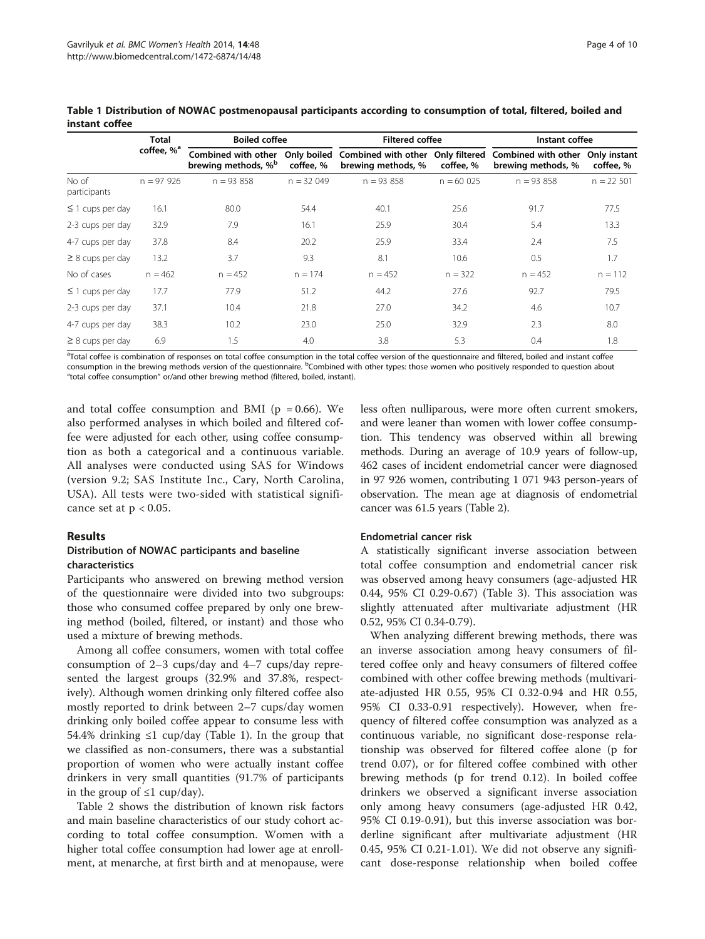|                       | Total<br>coffee, % <sup>a</sup> | <b>Boiled coffee</b>                                   |             | <b>Filtered coffee</b>                                                                               |             | Instant coffee     |             |
|-----------------------|---------------------------------|--------------------------------------------------------|-------------|------------------------------------------------------------------------------------------------------|-------------|--------------------|-------------|
|                       |                                 | Combined with other<br>brewing methods, % <sup>b</sup> | coffee, %   | Only boiled Combined with other Only filtered Combined with other Only instant<br>brewing methods, % | coffee. %   | brewing methods, % | coffee, %   |
| No of<br>participants | $n = 97926$                     | $n = 93,858$                                           | $n = 32049$ | $n = 93858$                                                                                          | $n = 60025$ | $n = 93858$        | $n = 22501$ |
| $\leq$ 1 cups per day | 16.1                            | 80.0                                                   | 54.4        | 40.1                                                                                                 | 25.6        | 91.7               | 77.5        |
| 2-3 cups per day      | 32.9                            | 7.9                                                    | 16.1        | 25.9                                                                                                 | 30.4        | 5.4                | 13.3        |
| 4-7 cups per day      | 37.8                            | 8.4                                                    | 20.2        | 25.9                                                                                                 | 33.4        | 2.4                | 7.5         |
| $\geq$ 8 cups per day | 13.2                            | 3.7                                                    | 9.3         | 8.1                                                                                                  | 10.6        | 0.5                | 1.7         |
| No of cases           | $n = 462$                       | $n = 452$                                              | $n = 174$   | $n = 452$                                                                                            | $n = 322$   | $n = 452$          | $n = 112$   |
| $\leq$ 1 cups per day | 17.7                            | 77.9                                                   | 51.2        | 44.2                                                                                                 | 27.6        | 92.7               | 79.5        |
| 2-3 cups per day      | 37.1                            | 10.4                                                   | 21.8        | 27.0                                                                                                 | 34.2        | 4.6                | 10.7        |
| 4-7 cups per day      | 38.3                            | 10.2                                                   | 23.0        | 25.0                                                                                                 | 32.9        | 2.3                | 8.0         |
| $\geq$ 8 cups per day | 6.9                             | 1.5                                                    | 4.0         | 3.8                                                                                                  | 5.3         | 0.4                | 1.8         |

Table 1 Distribution of NOWAC postmenopausal participants according to consumption of total, filtered, boiled and instant coffee

<sup>a</sup>Total coffee is combination of responses on total coffee consumption in the total coffee version of the questionnaire and filtered, boiled and instant coffee consumption in the brewing methods version of the questionnaire. <sup>b</sup>Combined with other types: those women who positively responded to question about "total coffee consumption" or/and other brewing method (filtered, boiled, instant).

and total coffee consumption and BMI ( $p = 0.66$ ). We also performed analyses in which boiled and filtered coffee were adjusted for each other, using coffee consumption as both a categorical and a continuous variable. All analyses were conducted using SAS for Windows (version 9.2; SAS Institute Inc., Cary, North Carolina, USA). All tests were two-sided with statistical significance set at  $p < 0.05$ .

#### Results

## Distribution of NOWAC participants and baseline characteristics

Participants who answered on brewing method version of the questionnaire were divided into two subgroups: those who consumed coffee prepared by only one brewing method (boiled, filtered, or instant) and those who used a mixture of brewing methods.

Among all coffee consumers, women with total coffee consumption of 2–3 cups/day and 4–7 cups/day represented the largest groups (32.9% and 37.8%, respectively). Although women drinking only filtered coffee also mostly reported to drink between 2–7 cups/day women drinking only boiled coffee appear to consume less with 54.4% drinking ≤1 cup/day (Table 1). In the group that we classified as non-consumers, there was a substantial proportion of women who were actually instant coffee drinkers in very small quantities (91.7% of participants in the group of  $\leq 1$  cup/day).

Table 2 shows the distribution of known risk factors and main baseline characteristics of our study cohort according to total coffee consumption. Women with a higher total coffee consumption had lower age at enrollment, at menarche, at first birth and at menopause, were

less often nulliparous, were more often current smokers, and were leaner than women with lower coffee consumption. This tendency was observed within all brewing methods. During an average of 10.9 years of follow-up, 462 cases of incident endometrial cancer were diagnosed in 97 926 women, contributing 1 071 943 person-years of observation. The mean age at diagnosis of endometrial cancer was 61.5 years (Table 2).

## Endometrial cancer risk

A statistically significant inverse association between total coffee consumption and endometrial cancer risk was observed among heavy consumers (age-adjusted HR 0.44, 95% CI 0.29-0.67) (Table 3). This association was slightly attenuated after multivariate adjustment (HR 0.52, 95% CI 0.34-0.79).

When analyzing different brewing methods, there was an inverse association among heavy consumers of filtered coffee only and heavy consumers of filtered coffee combined with other coffee brewing methods (multivariate-adjusted HR 0.55, 95% CI 0.32-0.94 and HR 0.55, 95% CI 0.33-0.91 respectively). However, when frequency of filtered coffee consumption was analyzed as a continuous variable, no significant dose-response relationship was observed for filtered coffee alone (p for trend 0.07), or for filtered coffee combined with other brewing methods (p for trend 0.12). In boiled coffee drinkers we observed a significant inverse association only among heavy consumers (age-adjusted HR 0.42, 95% CI 0.19-0.91), but this inverse association was borderline significant after multivariate adjustment (HR 0.45, 95% CI 0.21-1.01). We did not observe any significant dose-response relationship when boiled coffee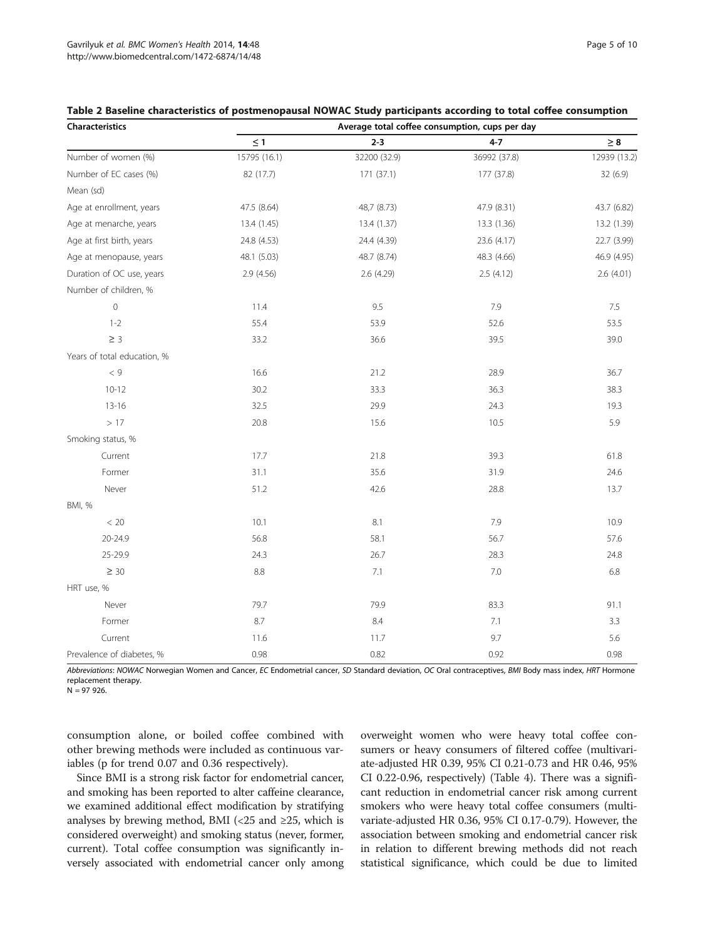| Characteristics             | Average total coffee consumption, cups per day |              |              |              |  |  |  |
|-----------------------------|------------------------------------------------|--------------|--------------|--------------|--|--|--|
|                             | $\leq 1$                                       | $2 - 3$      | $4 - 7$      | $\geq 8$     |  |  |  |
| Number of women (%)         | 15795 (16.1)                                   | 32200 (32.9) | 36992 (37.8) | 12939 (13.2) |  |  |  |
| Number of EC cases (%)      | 82 (17.7)                                      | 171 (37.1)   | 177 (37.8)   | 32 (6.9)     |  |  |  |
| Mean (sd)                   |                                                |              |              |              |  |  |  |
| Age at enrollment, years    | 47.5 (8.64)                                    | 48,7 (8.73)  | 47.9 (8.31)  | 43.7 (6.82)  |  |  |  |
| Age at menarche, years      | 13.4 (1.45)                                    | 13.4 (1.37)  | 13.3 (1.36)  | 13.2 (1.39)  |  |  |  |
| Age at first birth, years   | 24.8 (4.53)                                    | 24.4 (4.39)  | 23.6 (4.17)  | 22.7 (3.99)  |  |  |  |
| Age at menopause, years     | 48.1 (5.03)                                    | 48.7 (8.74)  | 48.3 (4.66)  | 46.9 (4.95)  |  |  |  |
| Duration of OC use, years   | 2.9(4.56)                                      | 2.6(4.29)    | 2.5(4.12)    | 2.6(4.01)    |  |  |  |
| Number of children, %       |                                                |              |              |              |  |  |  |
| $\mathbf 0$                 | 11.4                                           | 9.5          | 7.9          | 7.5          |  |  |  |
| $1 - 2$                     | 55.4                                           | 53.9         | 52.6         | 53.5         |  |  |  |
| $\geq$ 3                    | 33.2                                           | 36.6         | 39.5         | 39.0         |  |  |  |
| Years of total education, % |                                                |              |              |              |  |  |  |
| $<\,9$                      | 16.6                                           | 21.2         | 28.9         | 36.7         |  |  |  |
| $10 - 12$                   | 30.2                                           | 33.3         | 36.3         | 38.3         |  |  |  |
| $13 - 16$                   | 32.5                                           | 29.9         | 24.3         | 19.3         |  |  |  |
| >17                         | 20.8                                           | 15.6         | 10.5         | 5.9          |  |  |  |
| Smoking status, %           |                                                |              |              |              |  |  |  |
| Current                     | 17.7                                           | 21.8         | 39.3         | 61.8         |  |  |  |
| Former                      | 31.1                                           | 35.6         | 31.9         | 24.6         |  |  |  |
| Never                       | 51.2                                           | 42.6         | 28.8         | 13.7         |  |  |  |
| <b>BMI, %</b>               |                                                |              |              |              |  |  |  |
| < 20                        | 10.1                                           | 8.1          | 7.9          | 10.9         |  |  |  |
| 20-24.9                     | 56.8                                           | 58.1         | 56.7         | 57.6         |  |  |  |
| 25-29.9                     | 24.3                                           | 26.7         | 28.3         | 24.8         |  |  |  |
| $\geq 30$                   | $8.8\,$                                        | 7.1          | 7.0          | 6.8          |  |  |  |
| HRT use, %                  |                                                |              |              |              |  |  |  |
| Never                       | 79.7                                           | 79.9         | 83.3         | 91.1         |  |  |  |
| Former                      | 8.7                                            | $8.4\,$      | 7.1          | 3.3          |  |  |  |
| Current                     | 11.6                                           | 11.7         | 9.7          | 5.6          |  |  |  |
| Prevalence of diabetes, %   | 0.98                                           | 0.82         | 0.92         | 0.98         |  |  |  |

|  | Table 2 Baseline characteristics of postmenopausal NOWAC Study participants according to total coffee consumption |  |  |
|--|-------------------------------------------------------------------------------------------------------------------|--|--|
|--|-------------------------------------------------------------------------------------------------------------------|--|--|

Abbreviations: NOWAC Norwegian Women and Cancer, EC Endometrial cancer, SD Standard deviation, OC Oral contraceptives, BMI Body mass index, HRT Hormone replacement therapy.

 $N = 97926$ .

consumption alone, or boiled coffee combined with other brewing methods were included as continuous variables (p for trend 0.07 and 0.36 respectively).

Since BMI is a strong risk factor for endometrial cancer, and smoking has been reported to alter caffeine clearance, we examined additional effect modification by stratifying analyses by brewing method, BMI (<25 and  $\geq$ 25, which is considered overweight) and smoking status (never, former, current). Total coffee consumption was significantly inversely associated with endometrial cancer only among

overweight women who were heavy total coffee consumers or heavy consumers of filtered coffee (multivariate-adjusted HR 0.39, 95% CI 0.21-0.73 and HR 0.46, 95% CI 0.22-0.96, respectively) (Table 4). There was a significant reduction in endometrial cancer risk among current smokers who were heavy total coffee consumers (multivariate-adjusted HR 0.36, 95% CI 0.17-0.79). However, the association between smoking and endometrial cancer risk in relation to different brewing methods did not reach statistical significance, which could be due to limited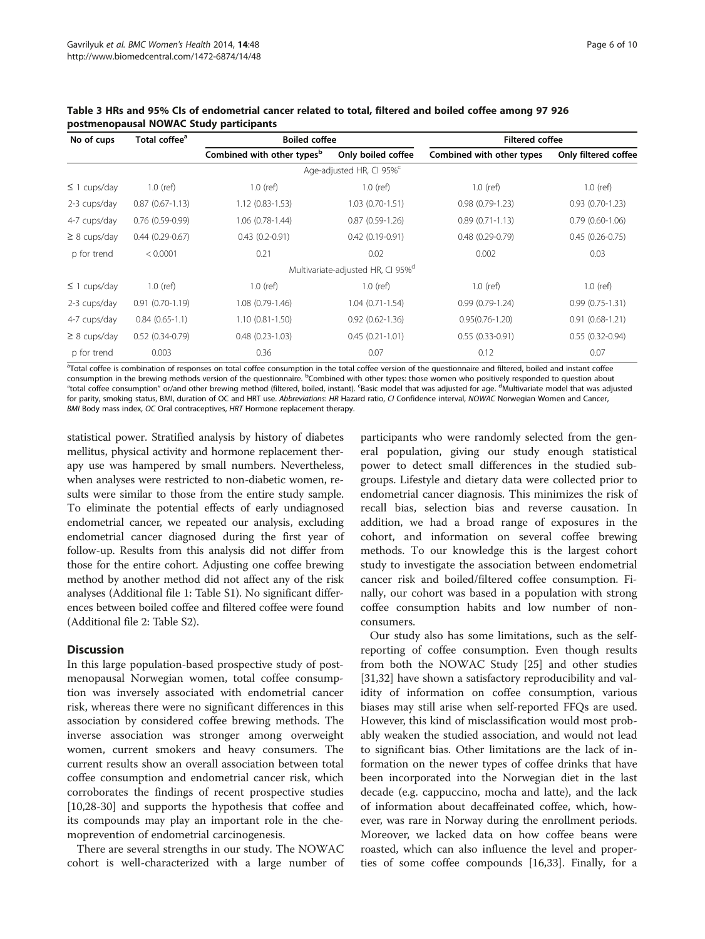| No of cups        | Total coffee <sup>a</sup> | <b>Boiled coffee</b>                   |                                               | <b>Filtered coffee</b>    |                      |  |
|-------------------|---------------------------|----------------------------------------|-----------------------------------------------|---------------------------|----------------------|--|
|                   |                           | Combined with other types <sup>b</sup> | Only boiled coffee                            | Combined with other types | Only filtered coffee |  |
|                   |                           |                                        | Age-adjusted HR, CI 95% <sup>c</sup>          |                           |                      |  |
| $\leq$ 1 cups/day | $1.0$ (ref)               | $1.0$ (ref)                            | $1.0$ (ref)                                   | $1.0$ (ref)               | $1.0$ (ref)          |  |
| 2-3 cups/day      | $0.87(0.67 - 1.13)$       | $1.12(0.83 - 1.53)$                    | $1.03(0.70-1.51)$                             | $0.98(0.79-1.23)$         | $0.93(0.70-1.23)$    |  |
| 4-7 cups/day      | $0.76(0.59-0.99)$         | 1.06 (0.78-1.44)                       | $0.87(0.59-1.26)$                             | $0.89(0.71-1.13)$         | $0.79(0.60-1.06)$    |  |
| $\geq$ 8 cups/day | $0.44(0.29-0.67)$         | $0.43(0.2-0.91)$                       | $0.42(0.19-0.91)$                             | $0.48(0.29-0.79)$         | $0.45(0.26-0.75)$    |  |
| p for trend       | < 0.0001                  | 0.21                                   | 0.02                                          | 0.002                     | 0.03                 |  |
|                   |                           |                                        | Multivariate-adjusted HR, CI 95% <sup>d</sup> |                           |                      |  |
| $\leq$ 1 cups/day | $1.0$ (ref)               | $1.0$ (ref)                            | $1.0$ (ref)                                   | $1.0$ (ref)               | $1.0$ (ref)          |  |
| 2-3 cups/day      | $0.91(0.70-1.19)$         | $1.08(0.79-1.46)$                      | $1.04(0.71-1.54)$                             | $0.99(0.79-1.24)$         | $0.99(0.75-1.31)$    |  |
| 4-7 cups/day      | $0.84(0.65-1.1)$          | $1.10(0.81 - 1.50)$                    | $0.92(0.62 - 1.36)$                           | $0.95(0.76 - 1.20)$       | $0.91(0.68-1.21)$    |  |
| $\geq$ 8 cups/day | $0.52(0.34-0.79)$         | $0.48(0.23-1.03)$                      | $0.45(0.21-1.01)$                             | $0.55(0.33-0.91)$         | $0.55(0.32-0.94)$    |  |
| p for trend       | 0.003                     | 0.36                                   | 0.07                                          | 0.12                      | 0.07                 |  |

Table 3 HRs and 95% CIs of endometrial cancer related to total, filtered and boiled coffee among 97 926 postmenopausal NOWAC Study participants

<sup>a</sup>Total coffee is combination of responses on total coffee consumption in the total coffee version of the questionnaire and filtered, boiled and instant coffee consumption in the brewing methods version of the questionnaire. <sup>b</sup>Combined with other types: those women who positively responded to question about "total coffee consumption" or/and other brewing method (filtered, boiled, instant). <sup>c</sup>Basic model that was adjusted for age. <sup>d</sup>Multivariate model that was adjusted for parity, smoking status, BMI, duration of OC and HRT use. Abbreviations: HR Hazard ratio, CI Confidence interval, NOWAC Norwegian Women and Cancer, BMI Body mass index, OC Oral contraceptives, HRT Hormone replacement therapy.

statistical power. Stratified analysis by history of diabetes mellitus, physical activity and hormone replacement therapy use was hampered by small numbers. Nevertheless, when analyses were restricted to non-diabetic women, results were similar to those from the entire study sample. To eliminate the potential effects of early undiagnosed endometrial cancer, we repeated our analysis, excluding endometrial cancer diagnosed during the first year of follow-up. Results from this analysis did not differ from those for the entire cohort. Adjusting one coffee brewing method by another method did not affect any of the risk analyses (Additional file 1: Table S1). No significant differences between boiled coffee and filtered coffee were found (Additional file 2: Table S2).

## **Discussion**

In this large population-based prospective study of postmenopausal Norwegian women, total coffee consumption was inversely associated with endometrial cancer risk, whereas there were no significant differences in this association by considered coffee brewing methods. The inverse association was stronger among overweight women, current smokers and heavy consumers. The current results show an overall association between total coffee consumption and endometrial cancer risk, which corroborates the findings of recent prospective studies [10,28-30] and supports the hypothesis that coffee and its compounds may play an important role in the chemoprevention of endometrial carcinogenesis.

There are several strengths in our study. The NOWAC cohort is well-characterized with a large number of participants who were randomly selected from the general population, giving our study enough statistical power to detect small differences in the studied subgroups. Lifestyle and dietary data were collected prior to endometrial cancer diagnosis. This minimizes the risk of recall bias, selection bias and reverse causation. In addition, we had a broad range of exposures in the cohort, and information on several coffee brewing methods. To our knowledge this is the largest cohort study to investigate the association between endometrial cancer risk and boiled/filtered coffee consumption. Finally, our cohort was based in a population with strong coffee consumption habits and low number of nonconsumers.

Our study also has some limitations, such as the selfreporting of coffee consumption. Even though results from both the NOWAC Study [25] and other studies [31,32] have shown a satisfactory reproducibility and validity of information on coffee consumption, various biases may still arise when self-reported FFQs are used. However, this kind of misclassification would most probably weaken the studied association, and would not lead to significant bias. Other limitations are the lack of information on the newer types of coffee drinks that have been incorporated into the Norwegian diet in the last decade (e.g. cappuccino, mocha and latte), and the lack of information about decaffeinated coffee, which, however, was rare in Norway during the enrollment periods. Moreover, we lacked data on how coffee beans were roasted, which can also influence the level and properties of some coffee compounds [16,33]. Finally, for a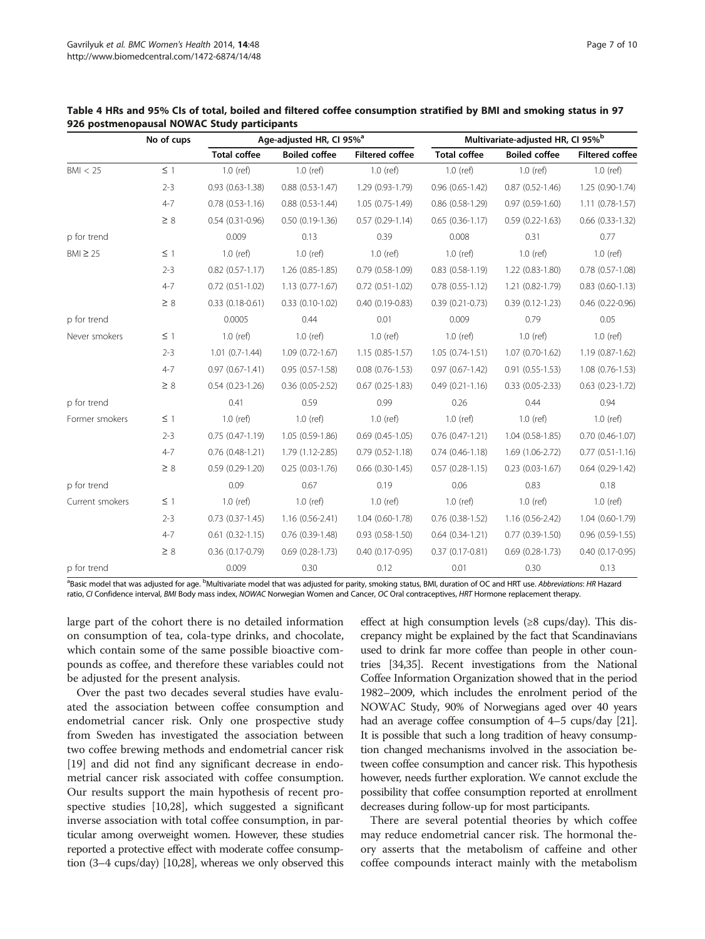|                 | No of cups | Age-adjusted HR, CI 95% <sup>a</sup> |                      | Multivariate-adjusted HR, CI 95% <sup>b</sup> |                        |                        |                        |
|-----------------|------------|--------------------------------------|----------------------|-----------------------------------------------|------------------------|------------------------|------------------------|
|                 |            | <b>Total coffee</b>                  | <b>Boiled coffee</b> | <b>Filtered coffee</b>                        | <b>Total coffee</b>    | <b>Boiled coffee</b>   | <b>Filtered coffee</b> |
| BMI < 25        | $\leq$ 1   | $1.0$ (ref)                          | $1.0$ (ref)          | $1.0$ (ref)                                   | $1.0$ (ref)            | $1.0$ (ref)            | $1.0$ (ref)            |
|                 | $2 - 3$    | $0.93(0.63 - 1.38)$                  | $0.88(0.53-1.47)$    | 1.29 (0.93-1.79)                              | $0.96$ $(0.65 - 1.42)$ | $0.87(0.52 - 1.46)$    | $1.25(0.90-1.74)$      |
|                 | $4 - 7$    | $0.78$ $(0.53-1.16)$                 | $0.88(0.53-1.44)$    | $1.05(0.75-1.49)$                             | $0.86$ $(0.58-1.29)$   | $0.97(0.59-1.60)$      | $1.11(0.78-1.57)$      |
|                 | $\geq 8$   | $0.54(0.31-0.96)$                    | $0.50(0.19-1.36)$    | $0.57(0.29-1.14)$                             | $0.65(0.36-1.17)$      | $0.59(0.22 - 1.63)$    | $0.66$ $(0.33-1.32)$   |
| p for trend     |            | 0.009                                | 0.13                 | 0.39                                          | 0.008                  | 0.31                   | 0.77                   |
| $BMI \geq 25$   | $\leq$ 1   | 1.0 (ref)                            | $1.0$ (ref)          | $1.0$ (ref)                                   | $1.0$ (ref)            | $1.0$ (ref)            | $1.0$ (ref)            |
|                 | $2 - 3$    | $0.82$ $(0.57 - 1.17)$               | $1.26(0.85-1.85)$    | $0.79(0.58-1.09)$                             | $0.83$ $(0.58 - 1.19)$ | 1.22 (0.83-1.80)       | $0.78$ $(0.57 - 1.08)$ |
|                 | $4 - 7$    | $0.72$ $(0.51 - 1.02)$               | $1.13(0.77-1.67)$    | $0.72$ $(0.51-1.02)$                          | $0.78$ $(0.55-1.12)$   | 1.21 (0.82-1.79)       | $0.83$ $(0.60 - 1.13)$ |
|                 | $\geq 8$   | $0.33(0.18-0.61)$                    | $0.33(0.10-1.02)$    | $0.40(0.19 - 0.83)$                           | $0.39(0.21-0.73)$      | $0.39(0.12 - 1.23)$    | $0.46(0.22-0.96)$      |
| p for trend     |            | 0.0005                               | 0.44                 | 0.01                                          | 0.009                  | 0.79                   | 0.05                   |
| Never smokers   | $\leq$ 1   | $1.0$ (ref)                          | 1.0 (ref)            | $1.0$ (ref)                                   | $1.0$ (ref)            | $1.0$ (ref)            | 1.0 (ref)              |
|                 | $2 - 3$    | $1.01(0.7-1.44)$                     | $1.09(0.72 - 1.67)$  | $1.15(0.85 - 1.57)$                           | $1.05(0.74-1.51)$      | $1.07(0.70-1.62)$      | $1.19(0.87-1.62)$      |
|                 | $4 - 7$    | $0.97(0.67 - 1.41)$                  | $0.95(0.57-1.58)$    | $0.08(0.76-1.53)$                             | $0.97(0.67 - 1.42)$    | $0.91(0.55-1.53)$      | $1.08(0.76-1.53)$      |
|                 | $\geq$ 8   | $0.54(0.23-1.26)$                    | $0.36(0.05-2.52)$    | $0.67(0.25-1.83)$                             | $0.49(0.21-1.16)$      | $0.33$ $(0.05 - 2.33)$ | $0.63$ $(0.23-1.72)$   |
| p for trend     |            | 0.41                                 | 0.59                 | 0.99                                          | 0.26                   | 0.44                   | 0.94                   |
| Former smokers  | $\leq$ 1   | $1.0$ (ref)                          | $1.0$ (ref)          | $1.0$ (ref)                                   | $1.0$ (ref)            | $1.0$ (ref)            | 1.0 (ref)              |
|                 | $2 - 3$    | $0.75(0.47-1.19)$                    | $1.05(0.59-1.86)$    | $0.69(0.45-1.05)$                             | $0.76(0.47-1.21)$      | $1.04(0.58-1.85)$      | $0.70(0.46-1.07)$      |
|                 | $4 - 7$    | $0.76(0.48-1.21)$                    | 1.79 (1.12-2.85)     | $0.79(0.52 - 1.18)$                           | $0.74(0.46-1.18)$      | 1.69 (1.06-2.72)       | $0.77(0.51-1.16)$      |
|                 | $\geq 8$   | $0.59(0.29-1.20)$                    | $0.25(0.03-1.76)$    | $0.66$ $(0.30-1.45)$                          | $0.57(0.28-1.15)$      | $0.23(0.03 - 1.67)$    | $0.64(0.29-1.42)$      |
| p for trend     |            | 0.09                                 | 0.67                 | 0.19                                          | 0.06                   | 0.83                   | 0.18                   |
| Current smokers | $\leq$ 1   | $1.0$ (ref)                          | $1.0$ (ref)          | $1.0$ (ref)                                   | $1.0$ (ref)            | $1.0$ (ref)            | $1.0$ (ref)            |
|                 | $2 - 3$    | $0.73$ $(0.37-1.45)$                 | $1.16(0.56-2.41)$    | $1.04(0.60-1.78)$                             | $0.76$ $(0.38-1.52)$   | 1.16 (0.56-2.42)       | $1.04(0.60-1.79)$      |
|                 | $4 - 7$    | $0.61(0.32-1.15)$                    | $0.76(0.39-1.48)$    | $0.93$ $(0.58 - 1.50)$                        | $0.64(0.34-1.21)$      | $0.77$ $(0.39-1.50)$   | $0.96$ $(0.59-1.55)$   |
|                 | $\geq 8$   | $0.36(0.17-0.79)$                    | $0.69(0.28-1.73)$    | $0.40(0.17-0.95)$                             | $0.37(0.17-0.81)$      | $0.69(0.28-1.73)$      | $0.40(0.17-0.95)$      |
| p for trend     |            | 0.009                                | 0.30                 | 0.12                                          | 0.01                   | 0.30                   | 0.13                   |

| Table 4 HRs and 95% CIs of total, boiled and filtered coffee consumption stratified by BMI and smoking status in 97 |  |
|---------------------------------------------------------------------------------------------------------------------|--|
| 926 postmenopausal NOWAC Study participants                                                                         |  |

<sup>a</sup>Basic model that was adjusted for age. <sup>b</sup>Multivariate model that was adjusted for parity, smoking status, BMI, duration of OC and HRT use. *Abbreviations: HR* Hazard ratio, CI Confidence interval, BMI Body mass index, NOWAC Norwegian Women and Cancer, OC Oral contraceptives, HRT Hormone replacement therapy.

large part of the cohort there is no detailed information on consumption of tea, cola-type drinks, and chocolate, which contain some of the same possible bioactive compounds as coffee, and therefore these variables could not be adjusted for the present analysis.

Over the past two decades several studies have evaluated the association between coffee consumption and endometrial cancer risk. Only one prospective study from Sweden has investigated the association between two coffee brewing methods and endometrial cancer risk [19] and did not find any significant decrease in endometrial cancer risk associated with coffee consumption. Our results support the main hypothesis of recent prospective studies [10,28], which suggested a significant inverse association with total coffee consumption, in particular among overweight women. However, these studies reported a protective effect with moderate coffee consumption (3–4 cups/day) [10,28], whereas we only observed this

effect at high consumption levels  $(\geq 8 \text{ cups/day})$ . This discrepancy might be explained by the fact that Scandinavians used to drink far more coffee than people in other countries [34,35]. Recent investigations from the National Coffee Information Organization showed that in the period 1982–2009, which includes the enrolment period of the NOWAC Study, 90% of Norwegians aged over 40 years had an average coffee consumption of 4–5 cups/day [21]. It is possible that such a long tradition of heavy consumption changed mechanisms involved in the association between coffee consumption and cancer risk. This hypothesis however, needs further exploration. We cannot exclude the possibility that coffee consumption reported at enrollment decreases during follow-up for most participants.

There are several potential theories by which coffee may reduce endometrial cancer risk. The hormonal theory asserts that the metabolism of caffeine and other coffee compounds interact mainly with the metabolism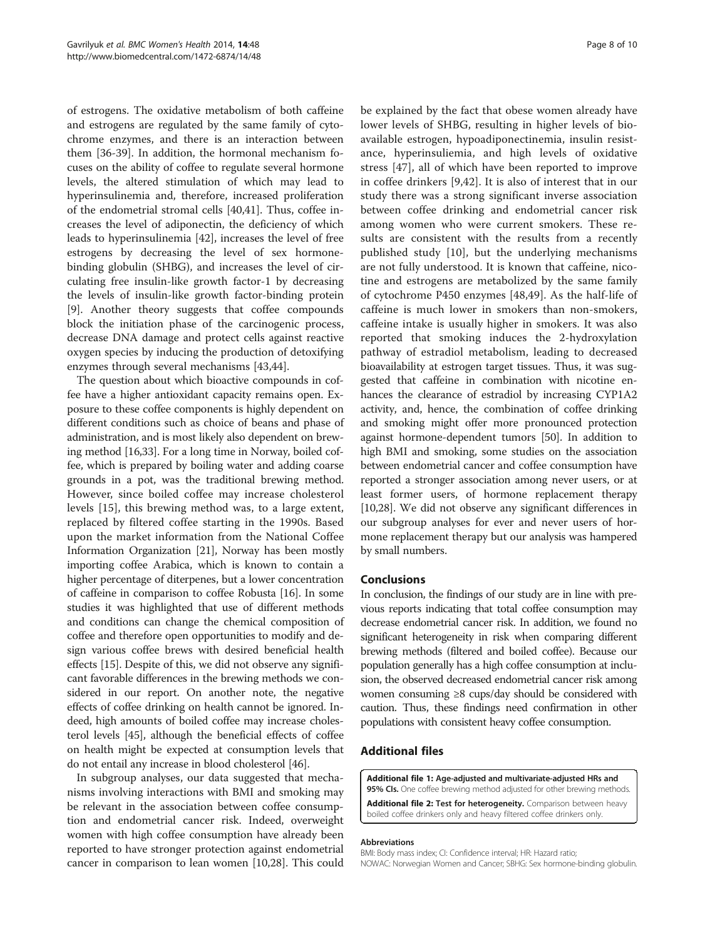of estrogens. The oxidative metabolism of both caffeine and estrogens are regulated by the same family of cytochrome enzymes, and there is an interaction between them [36-39]. In addition, the hormonal mechanism focuses on the ability of coffee to regulate several hormone levels, the altered stimulation of which may lead to hyperinsulinemia and, therefore, increased proliferation of the endometrial stromal cells [40,41]. Thus, coffee increases the level of adiponectin, the deficiency of which leads to hyperinsulinemia [42], increases the level of free estrogens by decreasing the level of sex hormonebinding globulin (SHBG), and increases the level of circulating free insulin-like growth factor-1 by decreasing the levels of insulin-like growth factor-binding protein [9]. Another theory suggests that coffee compounds block the initiation phase of the carcinogenic process, decrease DNA damage and protect cells against reactive oxygen species by inducing the production of detoxifying enzymes through several mechanisms [43,44].

The question about which bioactive compounds in coffee have a higher antioxidant capacity remains open. Exposure to these coffee components is highly dependent on different conditions such as choice of beans and phase of administration, and is most likely also dependent on brewing method [16,33]. For a long time in Norway, boiled coffee, which is prepared by boiling water and adding coarse grounds in a pot, was the traditional brewing method. However, since boiled coffee may increase cholesterol levels [15], this brewing method was, to a large extent, replaced by filtered coffee starting in the 1990s. Based upon the market information from the National Coffee Information Organization [21], Norway has been mostly importing coffee Arabica, which is known to contain a higher percentage of diterpenes, but a lower concentration of caffeine in comparison to coffee Robusta [16]. In some studies it was highlighted that use of different methods and conditions can change the chemical composition of coffee and therefore open opportunities to modify and design various coffee brews with desired beneficial health effects [15]. Despite of this, we did not observe any significant favorable differences in the brewing methods we considered in our report. On another note, the negative effects of coffee drinking on health cannot be ignored. Indeed, high amounts of boiled coffee may increase cholesterol levels [45], although the beneficial effects of coffee on health might be expected at consumption levels that do not entail any increase in blood cholesterol [46].

In subgroup analyses, our data suggested that mechanisms involving interactions with BMI and smoking may be relevant in the association between coffee consumption and endometrial cancer risk. Indeed, overweight women with high coffee consumption have already been reported to have stronger protection against endometrial cancer in comparison to lean women [10,28]. This could

be explained by the fact that obese women already have lower levels of SHBG, resulting in higher levels of bioavailable estrogen, hypoadiponectinemia, insulin resistance, hyperinsuliemia, and high levels of oxidative stress [47], all of which have been reported to improve in coffee drinkers [9,42]. It is also of interest that in our study there was a strong significant inverse association between coffee drinking and endometrial cancer risk among women who were current smokers. These results are consistent with the results from a recently published study [10], but the underlying mechanisms are not fully understood. It is known that caffeine, nicotine and estrogens are metabolized by the same family of cytochrome P450 enzymes [48,49]. As the half-life of caffeine is much lower in smokers than non-smokers, caffeine intake is usually higher in smokers. It was also reported that smoking induces the 2-hydroxylation pathway of estradiol metabolism, leading to decreased bioavailability at estrogen target tissues. Thus, it was suggested that caffeine in combination with nicotine enhances the clearance of estradiol by increasing CYP1A2 activity, and, hence, the combination of coffee drinking and smoking might offer more pronounced protection against hormone-dependent tumors [50]. In addition to high BMI and smoking, some studies on the association between endometrial cancer and coffee consumption have reported a stronger association among never users, or at least former users, of hormone replacement therapy [10,28]. We did not observe any significant differences in our subgroup analyses for ever and never users of hormone replacement therapy but our analysis was hampered by small numbers.

## Conclusions

In conclusion, the findings of our study are in line with previous reports indicating that total coffee consumption may decrease endometrial cancer risk. In addition, we found no significant heterogeneity in risk when comparing different brewing methods (filtered and boiled coffee). Because our population generally has a high coffee consumption at inclusion, the observed decreased endometrial cancer risk among women consuming ≥8 cups/day should be considered with caution. Thus, these findings need confirmation in other populations with consistent heavy coffee consumption.

## Additional files

[Additional file 1:](http://www.biomedcentral.com/content/supplementary/1472-6874-14-48-S1.docx) Age-adjusted and multivariate-adjusted HRs and 95% CIs. One coffee brewing method adjusted for other brewing methods.

[Additional file 2:](http://www.biomedcentral.com/content/supplementary/1472-6874-14-48-S2.docx) Test for heterogeneity. Comparison between heavy boiled coffee drinkers only and heavy filtered coffee drinkers only.

#### Abbreviations

BMI: Body mass index; CI: Confidence interval; HR: Hazard ratio; NOWAC: Norwegian Women and Cancer; SBHG: Sex hormone-binding globulin.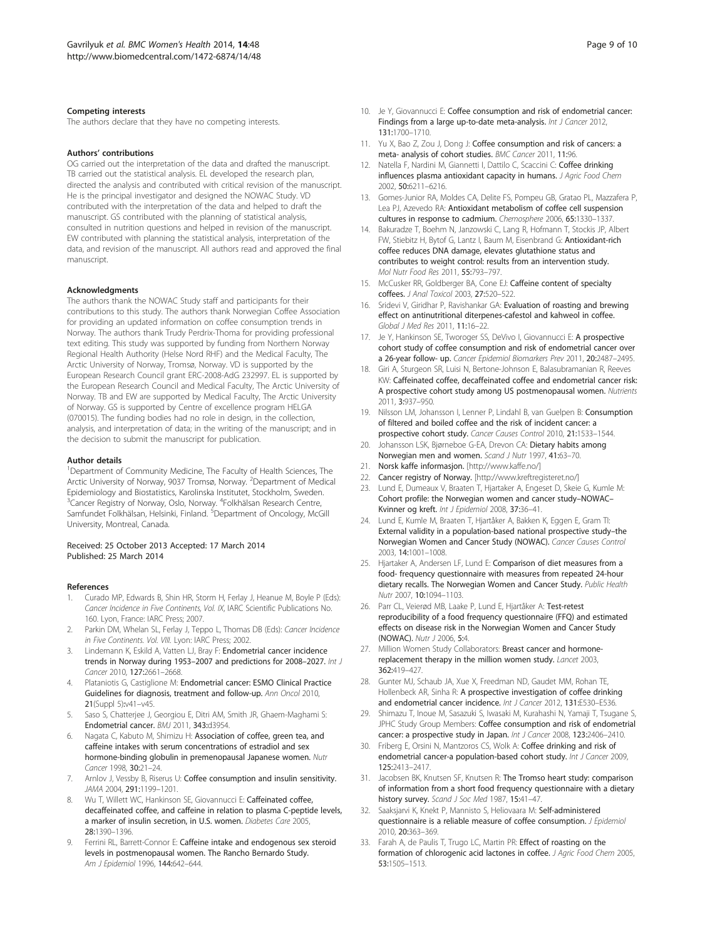#### Competing interests

The authors declare that they have no competing interests.

#### Authors' contributions

OG carried out the interpretation of the data and drafted the manuscript. TB carried out the statistical analysis. EL developed the research plan, directed the analysis and contributed with critical revision of the manuscript. He is the principal investigator and designed the NOWAC Study. VD contributed with the interpretation of the data and helped to draft the manuscript. GS contributed with the planning of statistical analysis, consulted in nutrition questions and helped in revision of the manuscript. EW contributed with planning the statistical analysis, interpretation of the data, and revision of the manuscript. All authors read and approved the final manuscript.

#### Acknowledgments

The authors thank the NOWAC Study staff and participants for their contributions to this study. The authors thank Norwegian Coffee Association for providing an updated information on coffee consumption trends in Norway. The authors thank Trudy Perdrix-Thoma for providing professional text editing. This study was supported by funding from Northern Norway Regional Health Authority (Helse Nord RHF) and the Medical Faculty, The Arctic University of Norway, Tromsø, Norway. VD is supported by the European Research Council grant ERC-2008-AdG 232997. EL is supported by the European Research Council and Medical Faculty, The Arctic University of Norway. TB and EW are supported by Medical Faculty, The Arctic University of Norway. GS is supported by Centre of excellence program HELGA (070015). The funding bodies had no role in design, in the collection, analysis, and interpretation of data; in the writing of the manuscript; and in the decision to submit the manuscript for publication.

#### Author details

<sup>1</sup>Department of Community Medicine, The Faculty of Health Sciences, The Arctic University of Norway, 9037 Tromsø, Norway. <sup>2</sup>Department of Medical Epidemiology and Biostatistics, Karolinska Institutet, Stockholm, Sweden. <sup>3</sup>Cancer Registry of Norway, Oslo, Norway. <sup>4</sup>Folkhälsan Research Centre, Samfundet Folkhälsan, Helsinki, Finland. <sup>5</sup>Department of Oncology, McGill University, Montreal, Canada.

#### Received: 25 October 2013 Accepted: 17 March 2014 Published: 25 March 2014

#### References

- Curado MP, Edwards B, Shin HR, Storm H, Ferlay J, Heanue M, Boyle P (Eds): Cancer Incidence in Five Continents, Vol. IX, IARC Scientific Publications No. 160. Lyon, France: IARC Press; 2007.
- 2. Parkin DM, Whelan SL, Ferlay J, Teppo L, Thomas DB (Eds): Cancer Incidence in Five Continents. Vol. VIII. Lyon: IARC Press; 2002.
- 3. Lindemann K, Eskild A, Vatten LJ, Bray F: Endometrial cancer incidence trends in Norway during 1953–2007 and predictions for 2008–2027. Int J Cancer 2010, 127:2661–2668.
- Plataniotis G, Castiglione M: Endometrial cancer: ESMO Clinical Practice Guidelines for diagnosis, treatment and follow-up. Ann Oncol 2010, 21(Suppl 5):v41–v45.
- 5. Saso S, Chatterjee J, Georgiou E, Ditri AM, Smith JR, Ghaem-Maghami S: Endometrial cancer. BMJ 2011, 343:d3954.
- 6. Nagata C, Kabuto M, Shimizu H: Association of coffee, green tea, and caffeine intakes with serum concentrations of estradiol and sex hormone-binding globulin in premenopausal Japanese women. Nutr Cancer 1998, 30:21–24.
- 7. Arnlov J, Vessby B, Riserus U: Coffee consumption and insulin sensitivity. JAMA 2004, 291:1199–1201.
- Wu T, Willett WC, Hankinson SE, Giovannucci E: Caffeinated coffee, decaffeinated coffee, and caffeine in relation to plasma C-peptide levels, a marker of insulin secretion, in U.S. women. Diabetes Care 2005, 28:1390–1396.
- Ferrini RL, Barrett-Connor E: Caffeine intake and endogenous sex steroid levels in postmenopausal women. The Rancho Bernardo Study. Am J Epidemiol 1996, 144:642–644.
- 10. Je Y, Giovannucci E: Coffee consumption and risk of endometrial cancer: Findings from a large up-to-date meta-analysis. Int J Cancer 2012, 131:1700–1710.
- 11. Yu X, Bao Z, Zou J, Dong J: Coffee consumption and risk of cancers: a meta- analysis of cohort studies. BMC Cancer 2011, 11:96.
- 12. Natella F, Nardini M, Giannetti I, Dattilo C, Scaccini C: Coffee drinking influences plasma antioxidant capacity in humans. J Agric Food Chem 2002, 50:6211–6216.
- 13. Gomes-Junior RA, Moldes CA, Delite FS, Pompeu GB, Gratao PL, Mazzafera P, Lea PJ, Azevedo RA: Antioxidant metabolism of coffee cell suspension cultures in response to cadmium. Chemosphere 2006, 65:1330–1337.
- 14. Bakuradze T, Boehm N, Janzowski C, Lang R, Hofmann T, Stockis JP, Albert FW, Stiebitz H, Bytof G, Lantz I, Baum M, Eisenbrand G: Antioxidant-rich coffee reduces DNA damage, elevates glutathione status and contributes to weight control: results from an intervention study. Mol Nutr Food Res 2011, 55:793–797.
- 15. McCusker RR, Goldberger BA, Cone EJ: Caffeine content of specialty coffees. J Anal Toxicol 2003, 27:520–522.
- 16. Sridevi V, Giridhar P, Ravishankar GA: Evaluation of roasting and brewing effect on antinutritional diterpenes-cafestol and kahweol in coffee. Global J Med Res 2011, 11:16–22.
- 17. Je Y, Hankinson SE, Tworoger SS, DeVivo I, Giovannucci E: A prospective cohort study of coffee consumption and risk of endometrial cancer over a 26-year follow- up. Cancer Epidemiol Biomarkers Prev 2011, 20:2487–2495.
- 18. Giri A, Sturgeon SR, Luisi N, Bertone-Johnson E, Balasubramanian R, Reeves KW: Caffeinated coffee, decaffeinated coffee and endometrial cancer risk: A prospective cohort study among US postmenopausal women. Nutrients 2011, 3:937–950.
- 19. Nilsson LM, Johansson I, Lenner P, Lindahl B, van Guelpen B: Consumption of filtered and boiled coffee and the risk of incident cancer: a prospective cohort study. Cancer Causes Control 2010, 21:1533–1544.
- 20. Johansson LSK, Bjørneboe G-EA, Drevon CA: Dietary habits among
- Norwegian men and women. Scand J Nutr 1997, 41:63–70.
- 21. Norsk kaffe informasjon. [\[http://www.kaffe.no/](http://www.kaffe.no/)]
- 22. Cancer registry of Norway. [[http://www.kreftregisteret.no/\]](http://www.kreftregisteret.no/) 23. Lund E, Dumeaux V, Braaten T, Hjartaker A, Engeset D, Skeie G, Kumle M:
- Cohort profile: the Norwegian women and cancer study–NOWAC– Kvinner og kreft. Int J Epidemiol 2008, 37:36–41.
- 24. Lund E, Kumle M, Braaten T, Hjartåker A, Bakken K, Eggen E, Gram TI: External validity in a population-based national prospective study–the Norwegian Women and Cancer Study (NOWAC). Cancer Causes Control 2003, 14:1001–1008.
- 25. Hjartaker A, Andersen LF, Lund E: Comparison of diet measures from a food- frequency questionnaire with measures from repeated 24-hour dietary recalls. The Norwegian Women and Cancer Study. Public Health Nutr 2007, 10:1094–1103.
- 26. Parr CL, Veierød MB, Laake P, Lund E, Hjartåker A: Test-retest reproducibility of a food frequency questionnaire (FFQ) and estimated effects on disease risk in the Norwegian Women and Cancer Study (NOWAC). Nutr J 2006, 5:4.
- 27. Million Women Study Collaborators: Breast cancer and hormonereplacement therapy in the million women study. Lancet 2003, 362:419–427.
- 28. Gunter MJ, Schaub JA, Xue X, Freedman ND, Gaudet MM, Rohan TE, Hollenbeck AR, Sinha R: A prospective investigation of coffee drinking and endometrial cancer incidence. Int J Cancer 2012, 131:E530-E536.
- Shimazu T, Inoue M, Sasazuki S, Iwasaki M, Kurahashi N, Yamaji T, Tsugane S, JPHC Study Group Members: Coffee consumption and risk of endometrial cancer: a prospective study in Japan. Int J Cancer 2008, 123:2406-2410.
- 30. Friberg E, Orsini N, Mantzoros CS, Wolk A: Coffee drinking and risk of endometrial cancer-a population-based cohort study. Int J Cancer 2009, 125:2413–2417.
- 31. Jacobsen BK, Knutsen SF, Knutsen R: The Tromso heart study: comparison of information from a short food frequency questionnaire with a dietary history survey. Scand J Soc Med 1987, 15:41-47.
- 32. Saaksjarvi K, Knekt P, Mannisto S, Heliovaara M: Self-administered questionnaire is a reliable measure of coffee consumption. J Epidemiol 2010, 20:363–369.
- 33. Farah A, de Paulis T, Trugo LC, Martin PR: Effect of roasting on the formation of chlorogenic acid lactones in coffee. J Agric Food Chem 2005, 53:1505–1513.